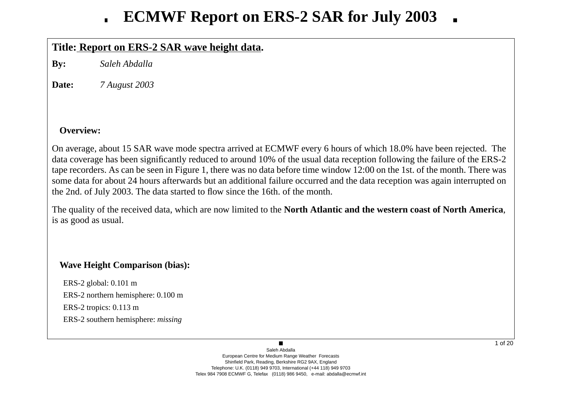# **ECMWF Report on ERS-2 SAR for July 2003**

# **Title: Report on ERS-2 SAR wa ve height data.**

**By:** *Saleh Abdalla*

**Date:***7 August 2003*

## **Overview:**

On average, about 15 SAR wave mode spectra arrived at ECMWF every 6 hours of which 18.0% have been rejected. The data co verage has been significantly reduced to around 10% of the usual data reception following the failure of the ERS-2 tape recorders. As can be seen in Figure 1, there was no data before time window 12:00 on the 1st. of the month. There was some data for about 24 hours afterwards but an additional failure occurred and the data reception was again interrupted on the 2nd. of July 2003. The data started to flow since the 16th. of the month.

The quality of the recei ved data, which are now limited to the **North Atlantic and the western coast of North America**, is as good as usual.

## **Wa ve Height Comparison (bias):**

ERS-2 global: 0.101 m ERS-2 northern hemisphere: 0.100 m ERS-2 tropics: 0.113 m ERS-2 southern hemisphere: *missing*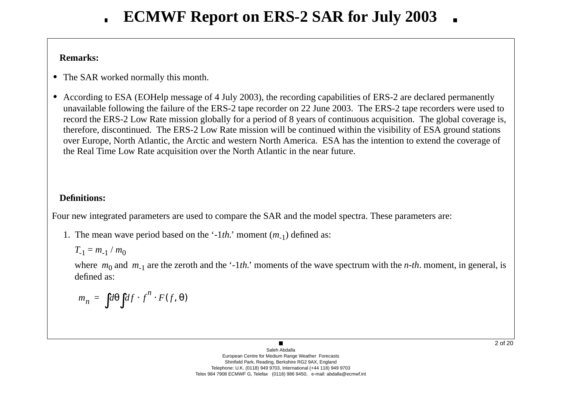## **Remarks:**

- **•** The SAR worked normally this month.
- **•** According to ESA (EOHelp message of 4 July 2003), the recording capabilities of ERS-2 are declared permanently una vailable following the failure of the ERS-2 tape recorder on 22 June 2003. The ERS-2 tape recorders were used to record the ERS-2 Low Rate mission globally for a period of 8 years of continuous acquisition. The global coverage is, therefore, discontinued. The ERS-2 Low Rate mission will be continued within the visibility of ESA ground stations o ver Europe, North Atlantic, the Arctic and western North America. ESA has the intention to extend the co verage of the Real Time Low Rate acquisition o ver the North Atlantic in the near future.

# **Definitions:**

Four new integrated parameters are used to compare the SAR and the model spectra. These parameters are:

1. The mean w a ve period based on the '-1*th.*' moment ( *<sup>m</sup>*-1) defined as:

$$
T_{-1} = m_{-1} / m_0
$$

where  $m_0$  and  $m_{-1}$  are the zeroth and the '-1*th*.' moments of the wave spectrum with the *n-th*. moment, in general, is defined as:

$$
m_n = \int d\theta \int df \cdot f^n \cdot F(f, \theta)
$$

 $\blacksquare$ Saleh AbdallaEuropean Centre for Medium Range Weather Forecasts Shinfield Park, Reading, Berkshire RG2 9AX, England Telephone: U.K. (0118) 949 9703, International (+44 118) 949 9703 Telex 984 7908 ECMWF G, Telefax (0118) 986 9450, e-mail: abdalla@ecmwf.int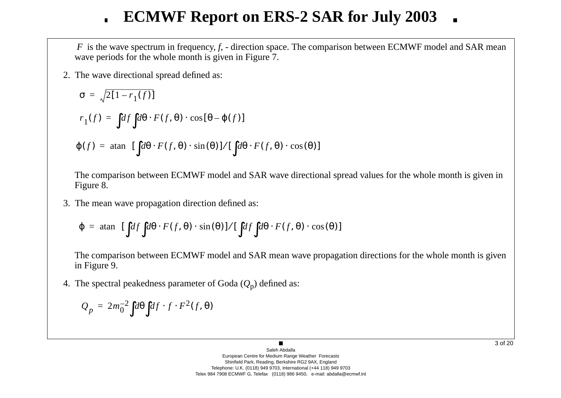# **ECMWF Report on ERS-2 SAR for July 2003**

*F* is the wave spectrum in frequency, *f*, - direction space. The comparison between ECMWF model and SAR mean wave periods for the whole month is given in Figure 7.

2. The w a ve directional spread defined as:

$$
\sigma = \sqrt{2[1 - r_1(f)]}
$$
  
\n
$$
r_1(f) = \int df \int d\theta \cdot F(f, \theta) \cdot \cos[\theta - \varphi(f)]
$$
  
\n
$$
\varphi(f) = \operatorname{atan} \left\{ [\int d\theta \cdot F(f, \theta) \cdot \sin(\theta)] / [\int d\theta \cdot F(f, \theta) \cdot \cos(\theta)] \right\}
$$

The comparison between ECMWF model and SAR wave directional spread values for the whole month is given in Figure 8.

3. The mean w a ve propagation direction defined as:

$$
\varphi = \text{atan}\Bigg\{ [\int df \int d\theta \cdot F(f, \theta) \cdot \sin(\theta)] / [\int df \int d\theta \cdot F(f, \theta) \cdot \cos(\theta)] \Bigg\}
$$

The comparison between ECMWF model and SAR mean wave propagation directions for the whole month is given in Figure 9.

4. The spectral peakedness parameter of Goda ( *Q* <sup>p</sup>) defined as:

$$
Q_p = 2m_0^{-2} \int d\theta \int df \cdot f \cdot F^2(f, \theta)
$$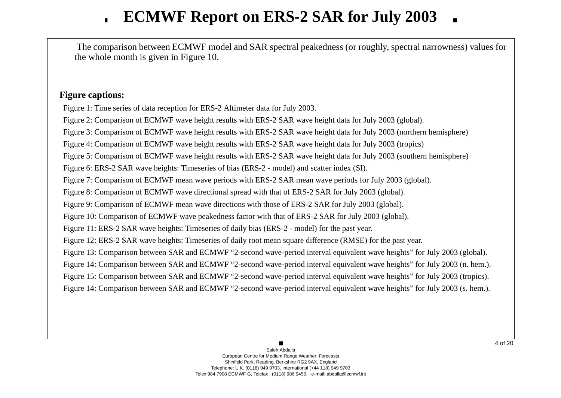# **ECMWF Report on ERS-2 SAR for July 2003**

The comparison between ECMWF model and SAR spectral peakedness (or roughly, spectral narrowness) values for the whole month is gi ven in Figure 10.

## **Figure captions:**

Figure 1: Time series of data reception for ERS-2 Altimeter data for July 2003.

Figure 2: Comparison of ECMWF wave height results with ERS-2 SAR wave height data for July 2003 (global).

Figure 3: Comparison of ECMWF wave height results with ERS-2 SAR wave height data for July 2003 (northern hemisphere)

Figure 4: Comparison of ECMWF wave height results with ERS-2 SAR wave height data for July 2003 (tropics)

Figure 5: Comparison of ECMWF wave height results with ERS-2 SAR wave height data for July 2003 (southern hemisphere)

Figure 6: ERS-2 SAR wave heights: Timeseries of bias (ERS-2 - model) and scatter index (SI).

Figure 7: Comparison of ECMWF mean wave periods with ERS-2 SAR mean wave periods for July 2003 (global).

Figure 8: Comparison of ECMWF wave directional spread with that of ERS-2 SAR for July 2003 (global).

Figure 9: Comparison of ECMWF mean wave directions with those of ERS-2 SAR for July 2003 (global).

Figure 10: Comparison of ECMWF wave peakedness factor with that of ERS-2 SAR for July 2003 (global).

Figure 11: ERS-2 SAR wave heights: Timeseries of daily bias (ERS-2 - model) for the past year.

Figure 12: ERS-2 SAR wave heights: Timeseries of daily root mean square difference (RMSE) for the past year.

Figure 13: Comparison between SAR and ECMWF "2-second wave-period interval equivalent wave heights" for July 2003 (global).

Figure 14: Comparison between SAR and ECMWF "2-second wave-period interval equivalent wave heights" for July 2003 (n. hem.).

Figure 15: Comparison between SAR and ECMWF "2-second wave-period interval equivalent wave heights" for July 2003 (tropics).

Figure 14: Comparison between SAR and ECMWF "2-second wave-period interval equivalent wave heights" for July 2003 (s. hem.).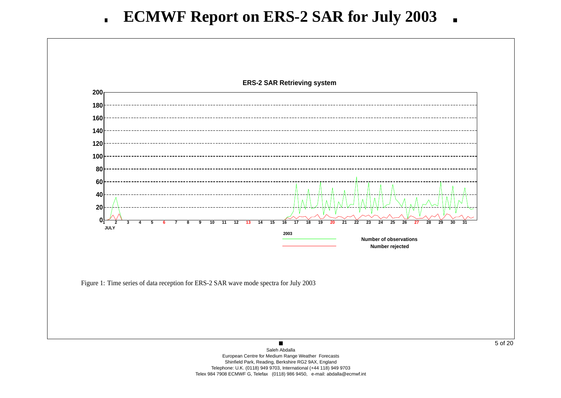

Shinfield Park, Reading, Berkshire RG2 9AX, England Telephone: U.K. (0118) 949 9703, International (+44 118) 949 9703 Telex 984 7908 ECMWF G, Telefax (0118) 986 9450, e-mail: abdalla@ecmwf.int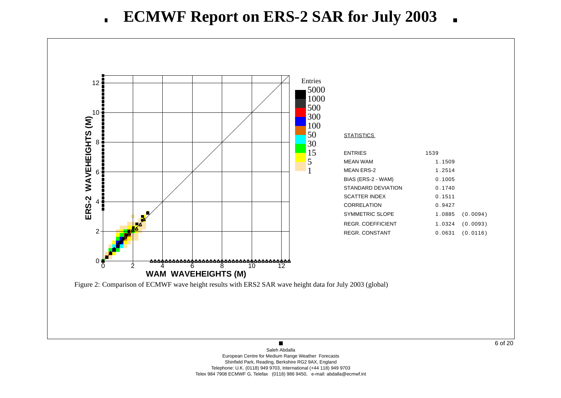

6 of 20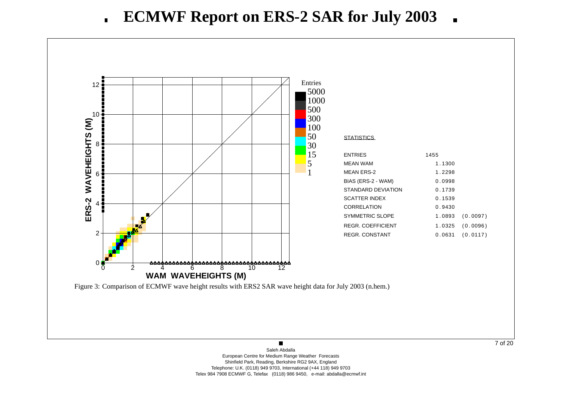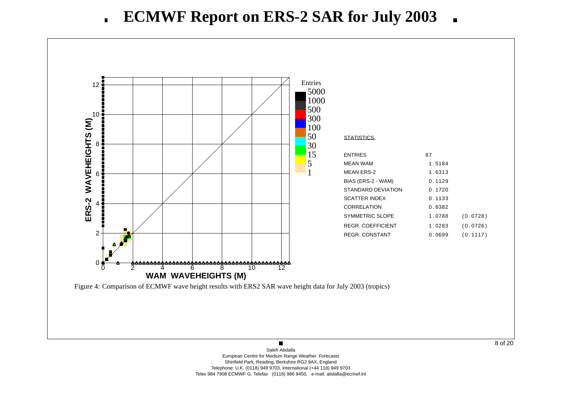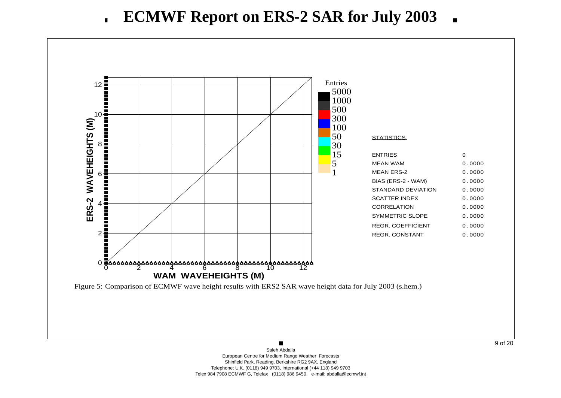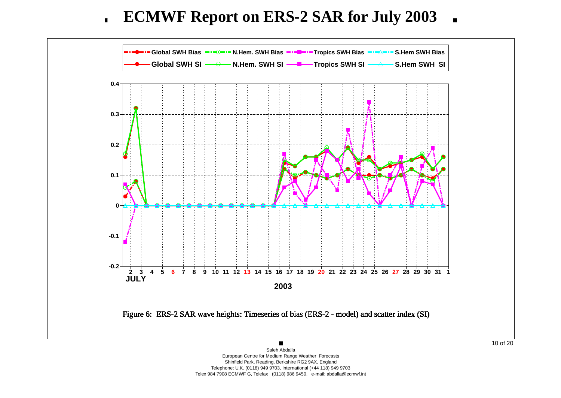**ECMWF Report on ERS-2 SAR for July 2003**  $\blacksquare$ 



Shinfield Park, Reading, Berkshire RG2 9AX, England Telephone: U.K. (0118) 949 9703, International (+44 118) 949 9703 Telex 984 7908 ECMWF G, Telefax (0118) 986 9450, e-mail: abdalla@ecmwf.int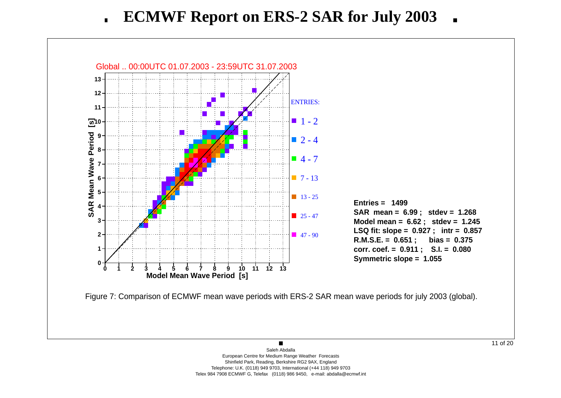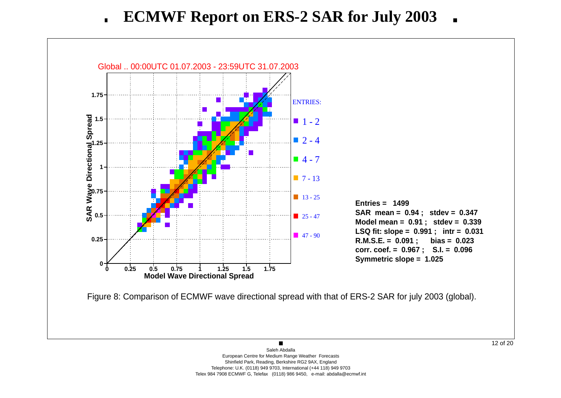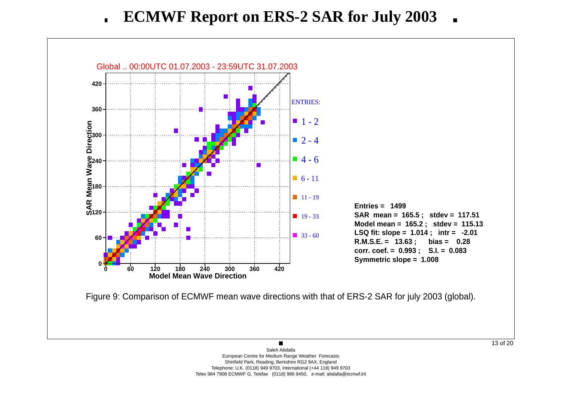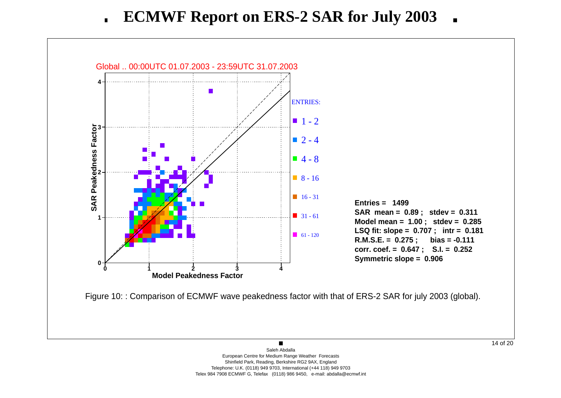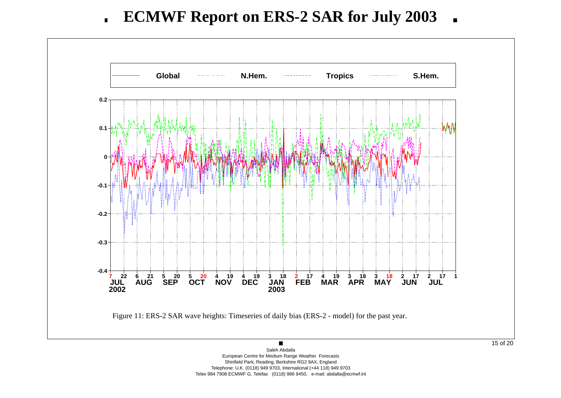

European Centre for Medium Range Weather Forecasts Shinfield Park, Reading, Berkshire RG2 9AX, England Telephone: U.K. (0118) 949 9703, International (+44 118) 949 9703 Telex 984 7908 ECMWF G, Telefax (0118) 986 9450, e-mail: abdalla@ecmwf.int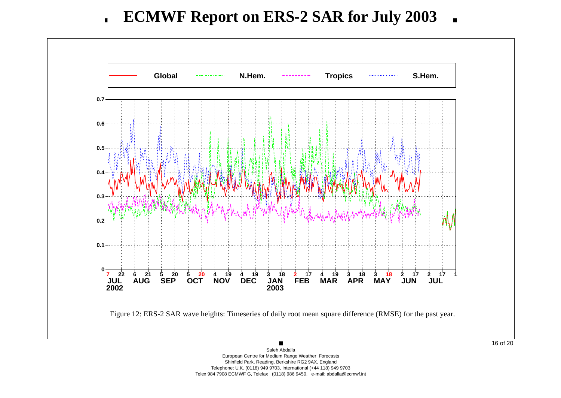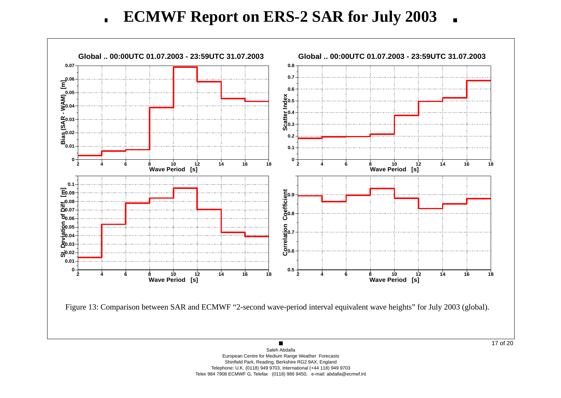**ECMWF Report on ERS-2 SAR for July 2003**  $\blacksquare$ 

![](_page_16_Figure_1.jpeg)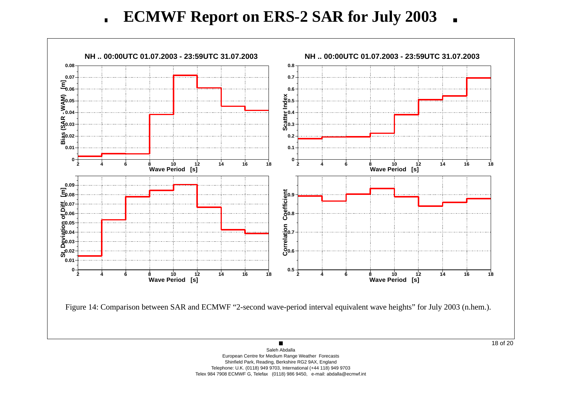**ECMWF Report on ERS-2 SAR for July 2003**  $\blacksquare$ 

![](_page_17_Figure_1.jpeg)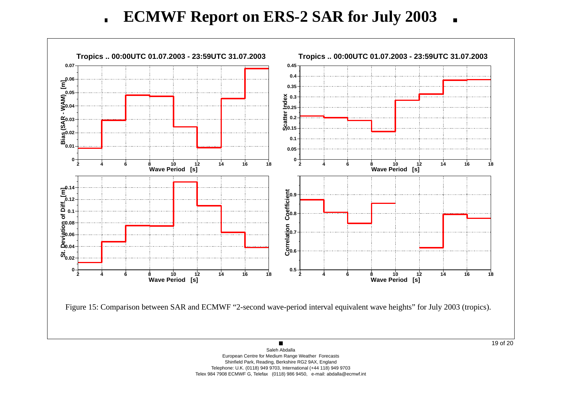**ECMWF Report on ERS-2 SAR for July 2003**  $\blacksquare$ 

![](_page_18_Figure_1.jpeg)

Saleh AbdallaEuropean Centre for Medium Range Weather Forecasts Shinfield Park, Reading, Berkshire RG2 9AX, England Telephone: U.K. (0118) 949 9703, International (+44 118) 949 9703 Telex 984 7908 ECMWF G, Telefax (0118) 986 9450, e-mail: abdalla@ecmwf.int